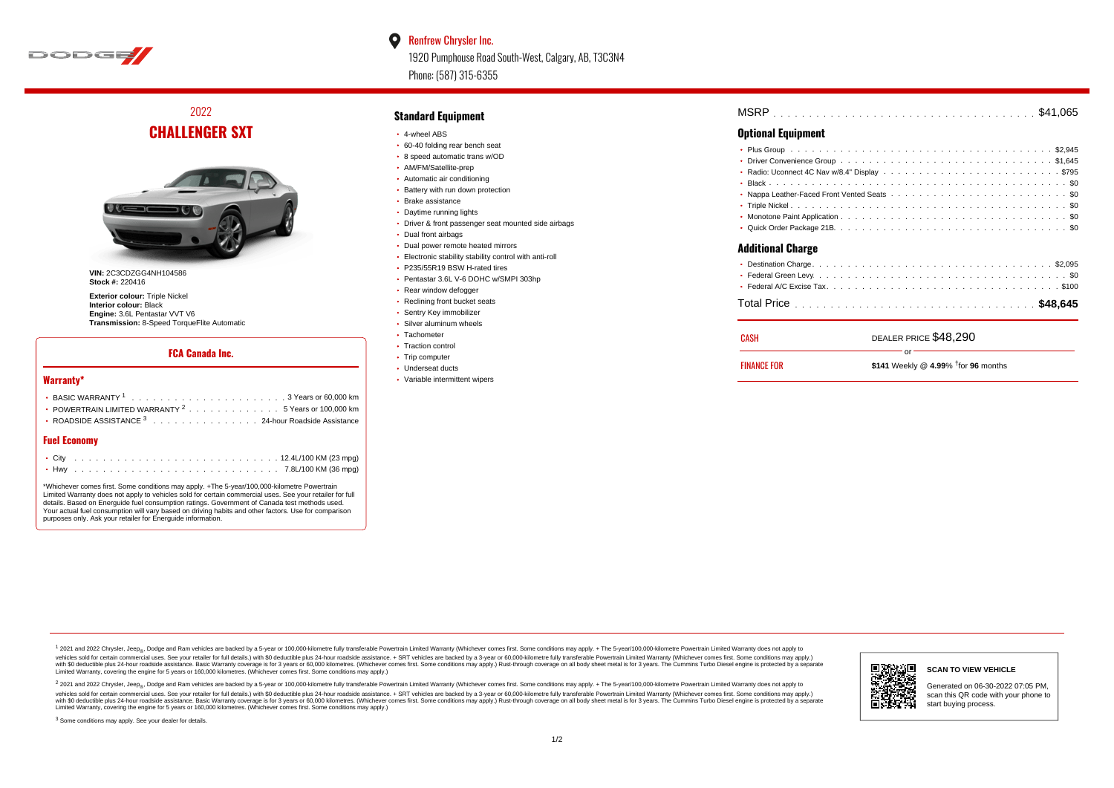

#### $\bullet$ Renfrew Chrysler Inc.

1920 Pumphouse Road South-West, Calgary, AB, T3C3N4 Phone: (587) 315-6355

# 2022 **CHALLENGER SXT**



**VIN:** 2C3CDZGG4NH104586 **Stock #:** 220416

**Exterior colour:** Triple Nickel **Interior colour:** Black **Engine:** 3.6L Pentastar VVT V6 **Transmission:** 8-Speed TorqueFlite Automatic

### **FCA Canada Inc.**

#### **Warranty\***

| $\cdot$ POWERTRAIN LIMITED WARRANTY $^2$ , , , , , , , , , , , , , , , 5 Years or 100,000 km |
|----------------------------------------------------------------------------------------------|
| • ROADSIDE ASSISTANCE $^3$ 24-hour Roadside Assistance                                       |

#### **Fuel Economy**

\*Whichever comes first. Some conditions may apply. +The 5-year/100,000-kilometre Powertrain Limited Warranty does not apply to vehicles sold for certain commercial uses. See your retailer for full details. Based on Energuide fuel consumption ratings. Government of Canada test methods used. Your actual fuel consumption will vary based on driving habits and other factors. Use for comparison purposes only. Ask your retailer for Energuide information.

### **Standard Equipment**

- 4-wheel ABS
- 60-40 folding rear bench seat
- 8 speed automatic trans w/OD
- AM/FM/Satellite-prep
- Automatic air conditioning
- Battery with run down protection
- Brake assistance
- Daytime running lights
- Driver & front passenger seat mounted side airbags
- Dual front airbags
- Dual power remote heated mirrors
- Electronic stability stability control with anti-roll P235/55R19 BSW H-rated tires
- Pentastar 3.6L V-6 DOHC w/SMPI 303hp
- Rear window defogger
- Reclining front bucket seats
- Sentry Key immobilizer
- Silver aluminum wheels
- Tachometer
- Traction control
- Trip computer
- Underseat ducts
- Variable intermittent wipers

| <b>MSRP</b> |  |  |  |  |  |  |  |  |  |  |  |  |  |  |  |  |  |  |
|-------------|--|--|--|--|--|--|--|--|--|--|--|--|--|--|--|--|--|--|
|             |  |  |  |  |  |  |  |  |  |  |  |  |  |  |  |  |  |  |

### **Optional Equipment**

| <b>Additional Charge</b> |                       |
|--------------------------|-----------------------|
|                          |                       |
|                          |                       |
|                          |                       |
|                          |                       |
| <b>CASH</b>              | DEALER PRICE \$48 290 |

| CASH               | DEALER PRICE \$48,290                         |
|--------------------|-----------------------------------------------|
| <b>FINANCE FOR</b> | nr-<br>\$141 Weekly @ 4.99% $†$ for 96 months |

1 2021 and 2022 Chrysler, Jeep<sub>en</sub> Dodge and Ram vehicles are backed by a 5-year or 100,000-kilometre fully transferable Powertrain Limited Warranty (Whichever comes first. Some conditions may apply. + The 5-year/100,000-k vehicles sold for certain commercial uses. See your retailer for full details.) with \$0 deductible plus 24-hour roadside assistance. + SRT vehicles are backed by a 3-year or 60,000-kilometre fully transferable Powertrain L versus and contract the mean of the contract of the contract with a contract with a contract the contract of the search of the contract and a control of the contract and contract and control of the search of the search of Limited Warranty, covering the engine for 5 years or 160,000 kilometres. (Whichever comes first. Some conditions may apply.)

<sup>2</sup> 2021 and 2022 Chrysler, Jeep<sub>®</sub>, Dodge and Ram vehicles are backed by a 5-year or 100,000-kilometre fully transferable Powertrain Limited Warranty (Whichever comes first. Some conditions may apply. + The 5-year/100,000 vehicles sold for certain commercial uses. See your retailer for full details.) with SO deductible plus 24-hour roadside assistance. + SRT vehicles are backed by a 3-year or 60.000-kilometre fully transferable Powertrain. with S0 deductible plus 24-hour roadside assistance. Basic Warranty coverage is for 3 years or 60,000 kilometres. (Whichever comes first. Some conditions may apply.) Rust-through coverage on all body sheet metal is for 3 y



#### **SCAN TO VIEW VEHICLE**

Generated on 06-30-2022 07:05 PM, scan this QR code with your phone to start buying process.

<sup>3</sup> Some conditions may apply. See your dealer for details.